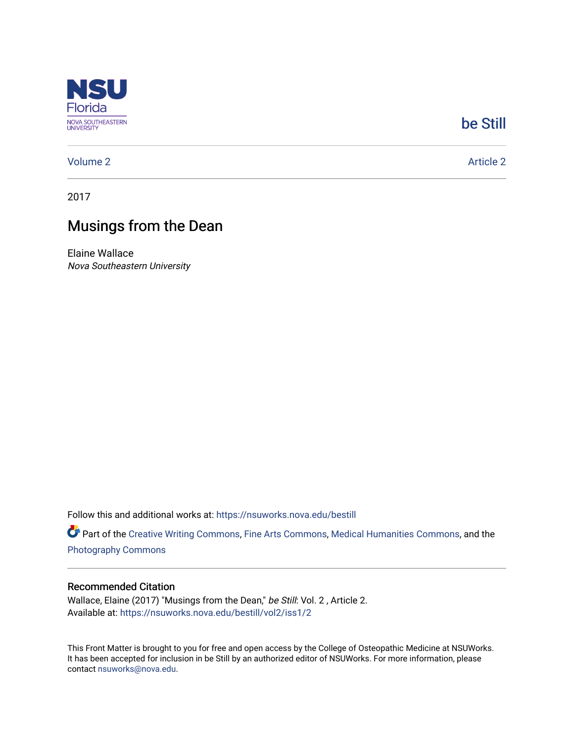

#### [be Still](https://nsuworks.nova.edu/bestill)

#### [Volume 2](https://nsuworks.nova.edu/bestill/vol2) Article 2

2017

#### Musings from the Dean

Elaine Wallace Nova Southeastern University

Follow this and additional works at: [https://nsuworks.nova.edu/bestill](https://nsuworks.nova.edu/bestill?utm_source=nsuworks.nova.edu%2Fbestill%2Fvol2%2Fiss1%2F2&utm_medium=PDF&utm_campaign=PDFCoverPages)

Part of the [Creative Writing Commons](http://network.bepress.com/hgg/discipline/574?utm_source=nsuworks.nova.edu%2Fbestill%2Fvol2%2Fiss1%2F2&utm_medium=PDF&utm_campaign=PDFCoverPages), [Fine Arts Commons,](http://network.bepress.com/hgg/discipline/1141?utm_source=nsuworks.nova.edu%2Fbestill%2Fvol2%2Fiss1%2F2&utm_medium=PDF&utm_campaign=PDFCoverPages) [Medical Humanities Commons,](http://network.bepress.com/hgg/discipline/1303?utm_source=nsuworks.nova.edu%2Fbestill%2Fvol2%2Fiss1%2F2&utm_medium=PDF&utm_campaign=PDFCoverPages) and the [Photography Commons](http://network.bepress.com/hgg/discipline/1142?utm_source=nsuworks.nova.edu%2Fbestill%2Fvol2%2Fiss1%2F2&utm_medium=PDF&utm_campaign=PDFCoverPages)

#### Recommended Citation

Wallace, Elaine (2017) "Musings from the Dean," be Still: Vol. 2 , Article 2. Available at: [https://nsuworks.nova.edu/bestill/vol2/iss1/2](https://nsuworks.nova.edu/bestill/vol2/iss1/2?utm_source=nsuworks.nova.edu%2Fbestill%2Fvol2%2Fiss1%2F2&utm_medium=PDF&utm_campaign=PDFCoverPages)

This Front Matter is brought to you for free and open access by the College of Osteopathic Medicine at NSUWorks. It has been accepted for inclusion in be Still by an authorized editor of NSUWorks. For more information, please contact [nsuworks@nova.edu.](mailto:nsuworks@nova.edu)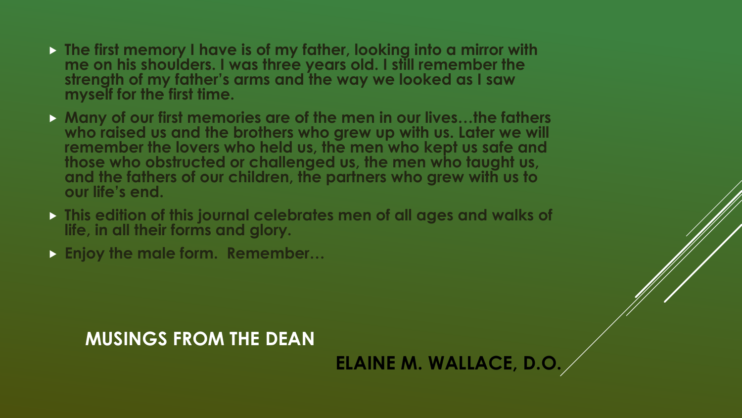- **The first memory I have is of my father, looking into a mirror with me on his shoulders. I was three years old. I still remember the strength of my father's arms and the way we looked as I saw myself for the first time.**
- **Many of our first memories are of the men in our lives…the fathers who raised us and the brothers who grew up with us. Later we will remember the lovers who held us, the men who kept us safe and those who obstructed or challenged us, the men who taught us, and the fathers of our children, the partners who grew with us to our life's end.**
- **This edition of this journal celebrates men of all ages and walks of life, in all their forms and glory.**
- **Enjoy the male form. Remember…**

## **MUSINGS FROM THE DEAN**

# **ELAINE M. WALLACE, D.O.**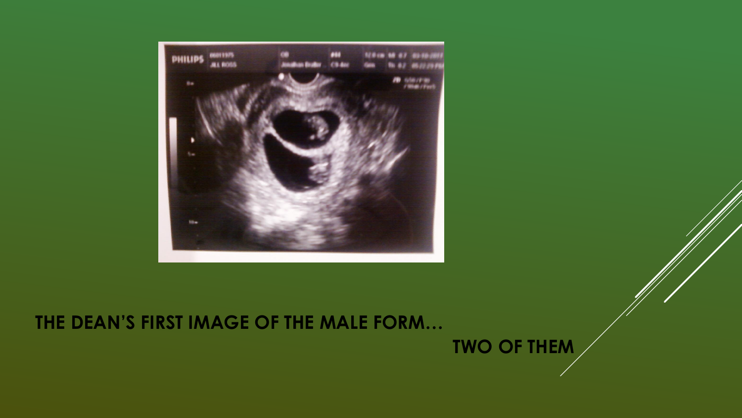

## **THE DEAN'S FIRST IMAGE OF THE MALE FORM…**

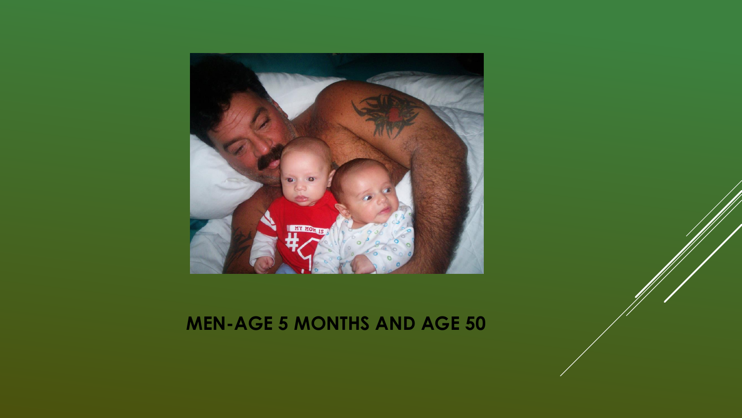

### **MEN-AGE 5 MONTHS AND AGE 50**